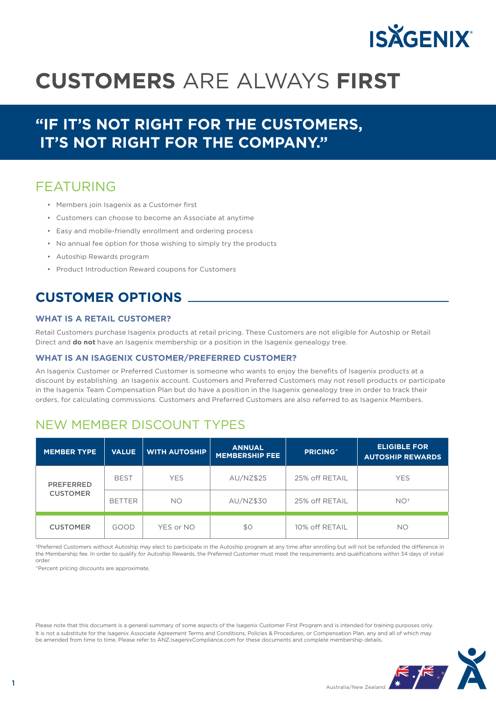

# **CUSTOMERS** ARE ALWAYS **FIRST**

# **"IF IT'S NOT RIGHT FOR THE CUSTOMERS, IT'S NOT RIGHT FOR THE COMPANY."**

### FEATURING

- Members join Isagenix as a Customer first
- Customers can choose to become an Associate at anytime
- Easy and mobile-friendly enrollment and ordering process
- No annual fee option for those wishing to simply try the products
- Autoship Rewards program
- Product Introduction Reward coupons for Customers

## **CUSTOMER OPTIONS**

#### **WHAT IS A RETAIL CUSTOMER?**

Retail Customers purchase Isagenix products at retail pricing. These Customers are not eligible for Autoship or Retail Direct and **do not** have an Isagenix membership or a position in the Isagenix genealogy tree.

#### **WHAT IS AN ISAGENIX CUSTOMER/PREFERRED CUSTOMER?**

An Isagenix Customer or Preferred Customer is someone who wants to enjoy the benefits of Isagenix products at a discount by establishing an Isagenix account. Customers and Preferred Customers may not resell products or participate in the Isagenix Team Compensation Plan but do have a position in the Isagenix genealogy tree in order to track their orders, for calculating commissions. Customers and Preferred Customers are also referred to as Isagenix Members.

### NEW MEMBER DISCOUNT TYPES

| <b>MEMBER TYPE</b>                  | <b>VALUE</b>  | <b>WITH AUTOSHIP</b> | <b>ANNUAL</b><br><b>MEMBERSHIP FEE</b> | <b>PRICING</b> <sup>^</sup> | <b>ELIGIBLE FOR</b><br><b>AUTOSHIP REWARDS</b> |
|-------------------------------------|---------------|----------------------|----------------------------------------|-----------------------------|------------------------------------------------|
| <b>PREFERRED</b><br><b>CUSTOMER</b> | <b>BEST</b>   | <b>YES</b>           | AU/NZ\$25                              | 25% off RETAIL              | <b>YES</b>                                     |
|                                     | <b>BETTER</b> | <b>NO</b>            | AU/NZ\$30                              | 25% off RETAIL              | $NO+$                                          |
| <b>CUSTOMER</b>                     | GOOD          | YES or NO            | \$0                                    | 10% off RETAIL              | NO                                             |

†Preferred Customers without Autoship may elect to participate in the Autoship program at any time after enrolling but will not be refunded the difference in the Membership fee. In order to qualify for Autoship Rewards, the Preferred Customer must meet the requirements and qualifications within 34 days of initial order.

^Percent pricing discounts are approximate.

Please note that this document is a general summary of some aspects of the Isagenix Customer First Program and is intended for training purposes only. It is not a substitute for the Isagenix Associate Agreement Terms and Conditions, Policies & Procedures, or Compensation Plan, any and all of which may be amended from time to time. Please refer to ANZ.IsagenixCompliance.com for these documents and complete membership details.

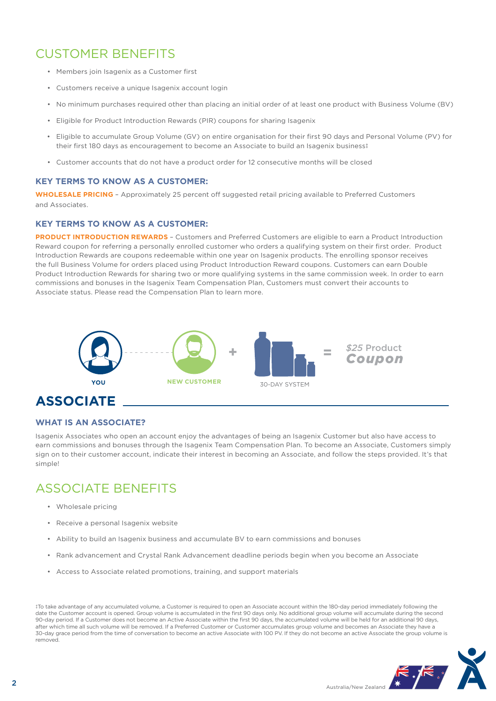# CUSTOMER BENEFITS

- Members join Isagenix as a Customer first
- Customers receive a unique Isagenix account login
- No minimum purchases required other than placing an initial order of at least one product with Business Volume (BV)
- Eligible for Product Introduction Rewards (PIR) coupons for sharing Isagenix
- Eligible to accumulate Group Volume (GV) on entire organisation for their first 90 days and Personal Volume (PV) for their first 180 days as encouragement to become an Associate to build an Isagenix business‡
- Customer accounts that do not have a product order for 12 consecutive months will be closed

#### **KEY TERMS TO KNOW AS A CUSTOMER:**

**WHOLESALE PRICING** – Approximately 25 percent off suggested retail pricing available to Preferred Customers and Associates.

#### **KEY TERMS TO KNOW AS A CUSTOMER:**

**PRODUCT INTRODUCTION REWARDS** – Customers and Preferred Customers are eligible to earn a Product Introduction Reward coupon for referring a personally enrolled customer who orders a qualifying system on their first order. Product Introduction Rewards are coupons redeemable within one year on Isagenix products. The enrolling sponsor receives the full Business Volume for orders placed using Product Introduction Reward coupons. Customers can earn Double Product Introduction Rewards for sharing two or more qualifying systems in the same commission week. In order to earn commissions and bonuses in the Isagenix Team Compensation Plan, Customers must convert their accounts to Associate status. Please read the Compensation Plan to learn more.



# **ASSOCIATE**

#### **WHAT IS AN ASSOCIATE?**

Isagenix Associates who open an account enjoy the advantages of being an Isagenix Customer but also have access to earn commissions and bonuses through the Isagenix Team Compensation Plan. To become an Associate, Customers simply sign on to their customer account, indicate their interest in becoming an Associate, and follow the steps provided. It's that simple!

### ASSOCIATE BENEFITS

- Wholesale pricing
- Receive a personal Isagenix website
- Ability to build an Isagenix business and accumulate BV to earn commissions and bonuses
- Rank advancement and Crystal Rank Advancement deadline periods begin when you become an Associate
- Access to Associate related promotions, training, and support materials

‡To take advantage of any accumulated volume, a Customer is required to open an Associate account within the 180-day period immediately following the date the Customer account is opened. Group volume is accumulated in the first 90 days only. No additional group volume will accumulate during the second 90-day period. If a Customer does not become an Active Associate within the first 90 days, the accumulated volume will be held for an additional 90 days, after which time all such volume will be removed. If a Preferred Customer or Customer accumulates group volume and becomes an Associate they have a 30-day grace period from the time of conversation to become an active Associate with 100 PV. If they do not become an active Associate the group volume is removed.

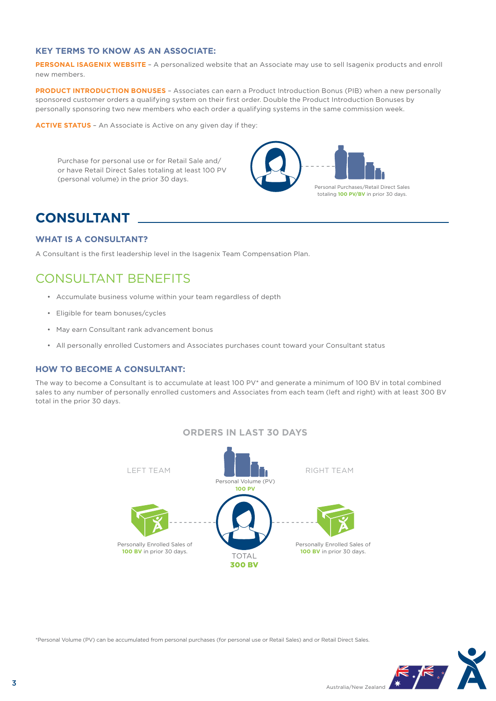#### **KEY TERMS TO KNOW AS AN ASSOCIATE:**

PERSONAL ISAGENIX WEBSITE - A personalized website that an Associate may use to sell Isagenix products and enroll new members.

**PRODUCT INTRODUCTION BONUSES** – Associates can earn a Product Introduction Bonus (PIB) when a new personally sponsored customer orders a qualifying system on their first order. Double the Product Introduction Bonuses by personally sponsoring two new members who each order a qualifying systems in the same commission week.

**ACTIVE STATUS** – An Associate is Active on any given day if they:

Purchase for personal use or for Retail Sale and/ or have Retail Direct Sales totaling at least 100 PV (personal volume) in the prior 30 days.



### **CONSULTANT**

#### **WHAT IS A CONSULTANT?**

A Consultant is the first leadership level in the Isagenix Team Compensation Plan.

### CONSULTANT BENEFITS

- Accumulate business volume within your team regardless of depth
- Eligible for team bonuses/cycles
- May earn Consultant rank advancement bonus
- All personally enrolled Customers and Associates purchases count toward your Consultant status

#### **HOW TO BECOME A CONSULTANT:**

The way to become a Consultant is to accumulate at least 100 PV\* and generate a minimum of 100 BV in total combined sales to any number of personally enrolled customers and Associates from each team (left and right) with at least 300 BV total in the prior 30 days.





\*Personal Volume (PV) can be accumulated from personal purchases (for personal use or Retail Sales) and or Retail Direct Sales.